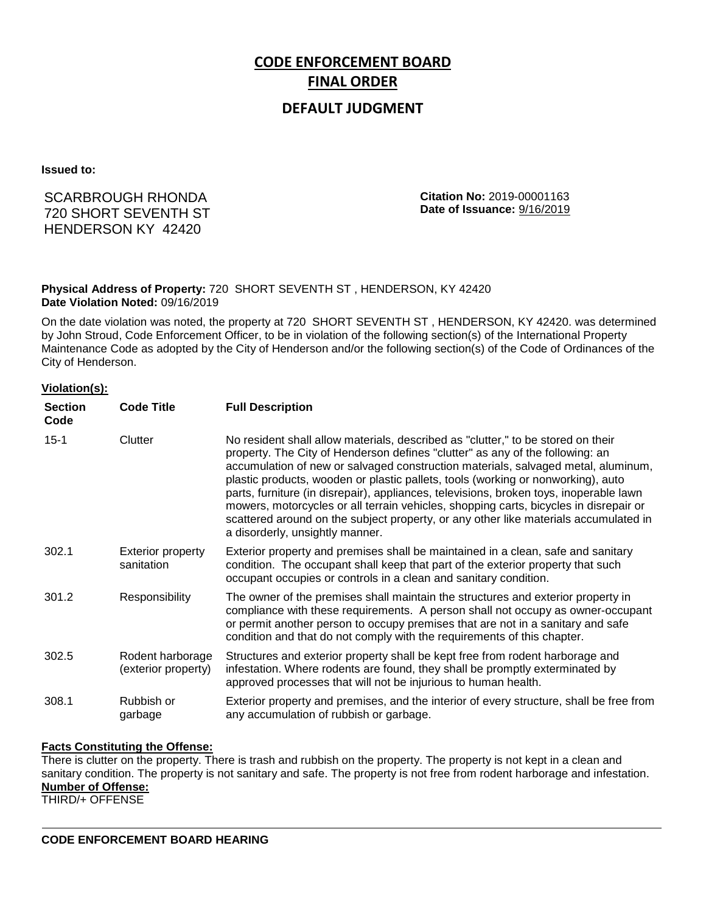# **CODE ENFORCEMENT BOARD FINAL ORDER**

# **DEFAULT JUDGMENT**

**Issued to:**

# SCARBROUGH RHONDA 720 SHORT SEVENTH ST HENDERSON KY 42420

**Citation No:** 2019-00001163 **Date of Issuance:** 9/16/2019

## **Physical Address of Property:** 720 SHORT SEVENTH ST , HENDERSON, KY 42420 **Date Violation Noted:** 09/16/2019

On the date violation was noted, the property at 720 SHORT SEVENTH ST , HENDERSON, KY 42420. was determined by John Stroud, Code Enforcement Officer, to be in violation of the following section(s) of the International Property Maintenance Code as adopted by the City of Henderson and/or the following section(s) of the Code of Ordinances of the City of Henderson.

### **Violation(s):**

| <b>Section</b><br>Code | <b>Code Title</b>                       | <b>Full Description</b>                                                                                                                                                                                                                                                                                                                                                                                                                                                                                                                                                                                                                                  |
|------------------------|-----------------------------------------|----------------------------------------------------------------------------------------------------------------------------------------------------------------------------------------------------------------------------------------------------------------------------------------------------------------------------------------------------------------------------------------------------------------------------------------------------------------------------------------------------------------------------------------------------------------------------------------------------------------------------------------------------------|
| $15 - 1$               | Clutter                                 | No resident shall allow materials, described as "clutter," to be stored on their<br>property. The City of Henderson defines "clutter" as any of the following: an<br>accumulation of new or salvaged construction materials, salvaged metal, aluminum,<br>plastic products, wooden or plastic pallets, tools (working or nonworking), auto<br>parts, furniture (in disrepair), appliances, televisions, broken toys, inoperable lawn<br>mowers, motorcycles or all terrain vehicles, shopping carts, bicycles in disrepair or<br>scattered around on the subject property, or any other like materials accumulated in<br>a disorderly, unsightly manner. |
| 302.1                  | <b>Exterior property</b><br>sanitation  | Exterior property and premises shall be maintained in a clean, safe and sanitary<br>condition. The occupant shall keep that part of the exterior property that such<br>occupant occupies or controls in a clean and sanitary condition.                                                                                                                                                                                                                                                                                                                                                                                                                  |
| 301.2                  | Responsibility                          | The owner of the premises shall maintain the structures and exterior property in<br>compliance with these requirements. A person shall not occupy as owner-occupant<br>or permit another person to occupy premises that are not in a sanitary and safe<br>condition and that do not comply with the requirements of this chapter.                                                                                                                                                                                                                                                                                                                        |
| 302.5                  | Rodent harborage<br>(exterior property) | Structures and exterior property shall be kept free from rodent harborage and<br>infestation. Where rodents are found, they shall be promptly exterminated by<br>approved processes that will not be injurious to human health.                                                                                                                                                                                                                                                                                                                                                                                                                          |
| 308.1                  | Rubbish or<br>garbage                   | Exterior property and premises, and the interior of every structure, shall be free from<br>any accumulation of rubbish or garbage.                                                                                                                                                                                                                                                                                                                                                                                                                                                                                                                       |

### **Facts Constituting the Offense:**

There is clutter on the property. There is trash and rubbish on the property. The property is not kept in a clean and sanitary condition. The property is not sanitary and safe. The property is not free from rodent harborage and infestation. **Number of Offense:**

THIRD/+ OFFENSE